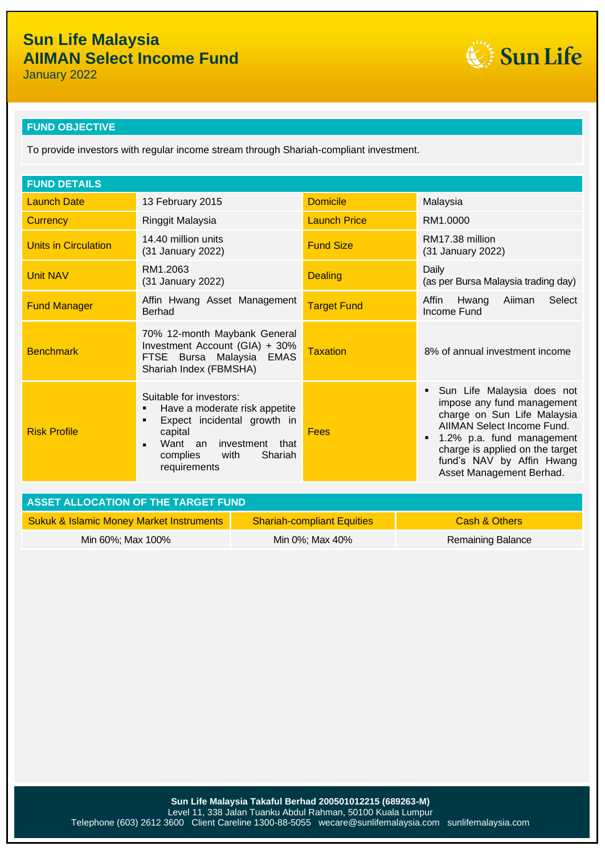Sun Life

January 2022

## **FUND OBJECTIVE**

To provide investors with regular income stream through Shariah-compliant investment.

| <b>FUND DETAILS</b>                 |                                                                                                                                                                                                          |                     |                                                                                                                                                                                                                                                |  |  |
|-------------------------------------|----------------------------------------------------------------------------------------------------------------------------------------------------------------------------------------------------------|---------------------|------------------------------------------------------------------------------------------------------------------------------------------------------------------------------------------------------------------------------------------------|--|--|
| <b>Launch Date</b>                  | 13 February 2015                                                                                                                                                                                         | <b>Domicile</b>     | Malaysia                                                                                                                                                                                                                                       |  |  |
| <b>Currency</b>                     | Ringgit Malaysia                                                                                                                                                                                         | <b>Launch Price</b> | RM1.0000                                                                                                                                                                                                                                       |  |  |
| <b>Units in Circulation</b>         | 14.40 million units<br>(31 January 2022)                                                                                                                                                                 | <b>Fund Size</b>    | RM17.38 million<br>(31 January 2022)                                                                                                                                                                                                           |  |  |
| <b>Unit NAV</b>                     | RM1.2063<br>(31 January 2022)                                                                                                                                                                            | <b>Dealing</b>      | Daily<br>(as per Bursa Malaysia trading day)                                                                                                                                                                                                   |  |  |
| <b>Fund Manager</b>                 | Affin Hwang Asset Management<br><b>Berhad</b>                                                                                                                                                            | <b>Target Fund</b>  | Select<br>Affin<br>Hwang<br>Aiiman<br>Income Fund                                                                                                                                                                                              |  |  |
| <b>Benchmark</b>                    | 70% 12-month Maybank General<br>Investment Account (GIA) + 30%<br>FTSE Bursa Malaysia<br><b>EMAS</b><br>Shariah Index (FBMSHA)                                                                           | <b>Taxation</b>     | 8% of annual investment income                                                                                                                                                                                                                 |  |  |
| <b>Risk Profile</b>                 | Suitable for investors:<br>Have a moderate risk appetite<br>٠<br>Expect incidental growth in<br>٠<br>capital<br>Want an investment that<br>$\blacksquare$<br>Shariah<br>with<br>complies<br>requirements | Fees                | Sun Life Malaysia does not<br>impose any fund management<br>charge on Sun Life Malaysia<br>AIIMAN Select Income Fund.<br>1.2% p.a. fund management<br>charge is applied on the target<br>fund's NAV by Affin Hwang<br>Asset Management Berhad. |  |  |
| ACCET ALLOCATION OF THE TADOET FUND |                                                                                                                                                                                                          |                     |                                                                                                                                                                                                                                                |  |  |

| LASSET ALLOCATION OF THE TARGET FUND.               |                                   |                   |  |  |
|-----------------------------------------------------|-----------------------------------|-------------------|--|--|
| <b>Sukuk &amp; Islamic Money Market Instruments</b> | <b>Shariah-compliant Equities</b> | Cash & Others     |  |  |
| Min 60%; Max 100%                                   | Min 0%; Max 40%                   | Remaining Balance |  |  |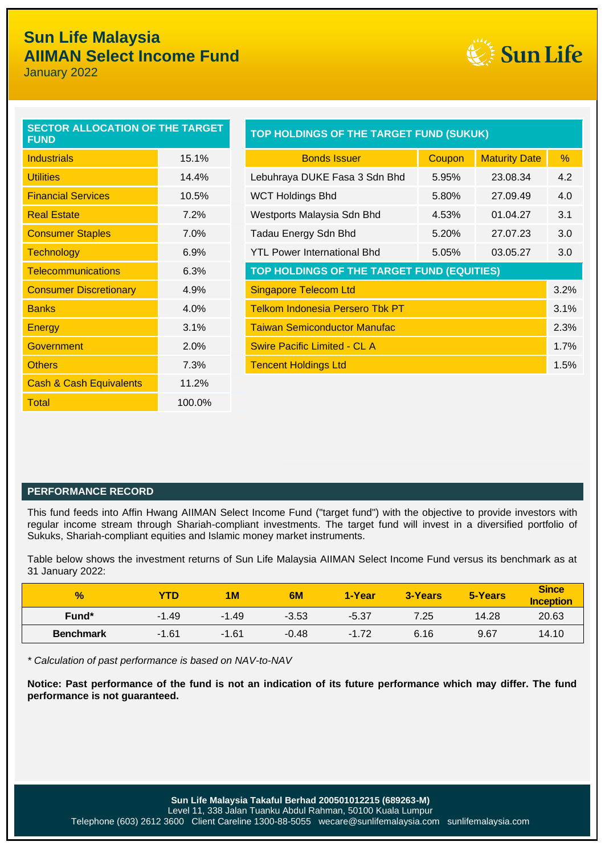### L<br>L **Sun Life Malaysia AIIMAN Select Income Fund**

January 2022



| <b>SECTOR ALLOCATION OF THE TARGET</b><br><b>FUND</b> |        |
|-------------------------------------------------------|--------|
| <b>Industrials</b>                                    | 15.1%  |
| <b>Utilities</b>                                      | 14.4%  |
| <b>Financial Services</b>                             | 10.5%  |
| <b>Real Estate</b>                                    | 7.2%   |
| <b>Consumer Staples</b>                               | 7.0%   |
| <b>Technology</b>                                     | ჩ.9%   |
| <b>Telecommunications</b>                             | 6.3%   |
| <b>Consumer Discretionary</b>                         | 4.9%   |
| <b>Banks</b>                                          | 4.0%   |
| Energy                                                | 3.1%   |
| Government                                            | 2.0%   |
| <b>Others</b>                                         | 7.3%   |
| <b>Cash &amp; Cash Equivalents</b>                    | 11.2%  |
| Total                                                 | 100.0% |

| <b>SECTOR ALLOCATION OF THE TARGET</b><br><b>FUND</b> |       | TOP HOLDINGS OF THE TARGET FUND (SUKUK)        |        |                      |               |  |  |
|-------------------------------------------------------|-------|------------------------------------------------|--------|----------------------|---------------|--|--|
| <b>Industrials</b>                                    | 15.1% | <b>Bonds Issuer</b>                            | Coupon | <b>Maturity Date</b> | $\frac{0}{0}$ |  |  |
| <b>Utilities</b>                                      | 14.4% | Lebuhraya DUKE Fasa 3 Sdn Bhd                  | 5.95%  | 23.08.34             | 4.2           |  |  |
| <b>Financial Services</b>                             | 10.5% | <b>WCT Holdings Bhd</b>                        | 5.80%  | 27.09.49             | 4.0           |  |  |
| <b>Real Estate</b>                                    | 7.2%  | Westports Malaysia Sdn Bhd                     | 4.53%  | 01.04.27             | 3.1           |  |  |
| <b>Consumer Staples</b>                               | 7.0%  | Tadau Energy Sdn Bhd                           | 5.20%  | 27.07.23             | 3.0           |  |  |
| <b>Technology</b>                                     | 6.9%  | <b>YTL Power International Bhd</b>             | 5.05%  | 03.05.27             | 3.0           |  |  |
| <b>Telecommunications</b>                             | 6.3%  | TOP HOLDINGS OF THE TARGET FUND (EQUITIES)     |        |                      |               |  |  |
| <b>Consumer Discretionary</b>                         | 4.9%  | 3.2%<br><b>Singapore Telecom Ltd</b>           |        |                      |               |  |  |
| <b>Banks</b>                                          | 4.0%  | <b>Telkom Indonesia Persero Tbk PT</b><br>3.1% |        |                      |               |  |  |
| Energy                                                | 3.1%  | <b>Taiwan Semiconductor Manufac</b><br>2.3%    |        |                      |               |  |  |
| Government                                            | 2.0%  | <b>Swire Pacific Limited - CL A</b>            |        |                      | 1.7%          |  |  |
| <b>Others</b>                                         | 7.3%  | <b>Tencent Holdings Ltd</b><br>1.5%            |        |                      |               |  |  |
|                                                       |       |                                                |        |                      |               |  |  |

## **PERFORMANCE RECORD**

This fund feeds into Affin Hwang AIIMAN Select Income Fund ("target fund") with the objective to provide investors with regular income stream through Shariah-compliant investments. The target fund will invest in a diversified portfolio of Sukuks, Shariah-compliant equities and Islamic money market instruments.

Table below shows the investment returns of Sun Life Malaysia AIIMAN Select Income Fund versus its benchmark as at 31 January 2022:

| $\frac{1}{2}$    | <b>YTD</b> | 1M      | 6M      | 1-Year  | 3-Years | 5-Years | <b>Since</b><br><b>Inception</b> |
|------------------|------------|---------|---------|---------|---------|---------|----------------------------------|
| Fund*            | $-1.49$    | $-1.49$ | $-3.53$ | $-5.37$ | 7.25    | 14.28   | 20.63                            |
| <b>Benchmark</b> | $-1.61$    | $-1.61$ | $-0.48$ | $-1.72$ | 6.16    | 9.67    | 14.10                            |

*\* Calculation of past performance is based on NAV-to-NAV*

**Notice: Past performance of the fund is not an indication of its future performance which may differ. The fund performance is not guaranteed.**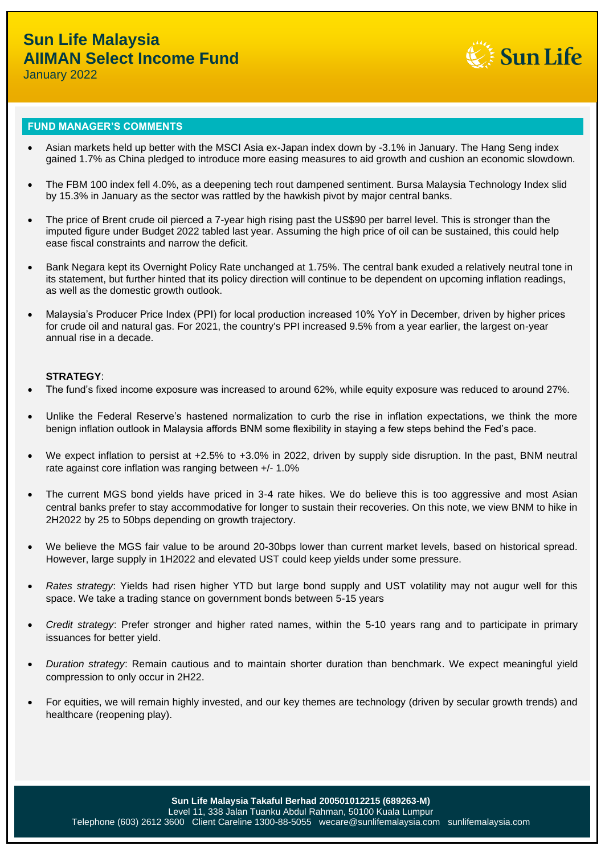

January 2022

### **FUND MANAGER'S COMMENTS**

- Asian markets held up better with the MSCI Asia ex-Japan index down by -3.1% in January. The Hang Seng index gained 1.7% as China pledged to introduce more easing measures to aid growth and cushion an economic slowdown.
- The FBM 100 index fell 4.0%, as a deepening tech rout dampened sentiment. Bursa Malaysia Technology Index slid by 15.3% in January as the sector was rattled by the hawkish pivot by major central banks.
- The price of Brent crude oil pierced a 7-year high rising past the US\$90 per barrel level. This is stronger than the imputed figure under Budget 2022 tabled last year. Assuming the high price of oil can be sustained, this could help ease fiscal constraints and narrow the deficit.
- Bank Negara kept its Overnight Policy Rate unchanged at 1.75%. The central bank exuded a relatively neutral tone in its statement, but further hinted that its policy direction will continue to be dependent on upcoming inflation readings, as well as the domestic growth outlook.
- Malaysia's Producer Price Index (PPI) for local production increased 10% YoY in December, driven by higher prices for crude oil and natural gas. For 2021, the country's PPI increased 9.5% from a year earlier, the largest on-year annual rise in a decade.

### **STRATEGY**:

- The fund's fixed income exposure was increased to around 62%, while equity exposure was reduced to around 27%.
- Unlike the Federal Reserve's hastened normalization to curb the rise in inflation expectations, we think the more benign inflation outlook in Malaysia affords BNM some flexibility in staying a few steps behind the Fed's pace.
- We expect inflation to persist at +2.5% to +3.0% in 2022, driven by supply side disruption. In the past, BNM neutral rate against core inflation was ranging between +/- 1.0%
- The current MGS bond yields have priced in 3-4 rate hikes. We do believe this is too aggressive and most Asian central banks prefer to stay accommodative for longer to sustain their recoveries. On this note, we view BNM to hike in 2H2022 by 25 to 50bps depending on growth trajectory.
- We believe the MGS fair value to be around 20-30bps lower than current market levels, based on historical spread. However, large supply in 1H2022 and elevated UST could keep yields under some pressure.
- *Rates strategy*: Yields had risen higher YTD but large bond supply and UST volatility may not augur well for this space. We take a trading stance on government bonds between 5-15 years
- *Credit strategy*: Prefer stronger and higher rated names, within the 5-10 years rang and to participate in primary issuances for better yield.
- *Duration strategy*: Remain cautious and to maintain shorter duration than benchmark. We expect meaningful yield compression to only occur in 2H22.
- For equities, we will remain highly invested, and our key themes are technology (driven by secular growth trends) and healthcare (reopening play).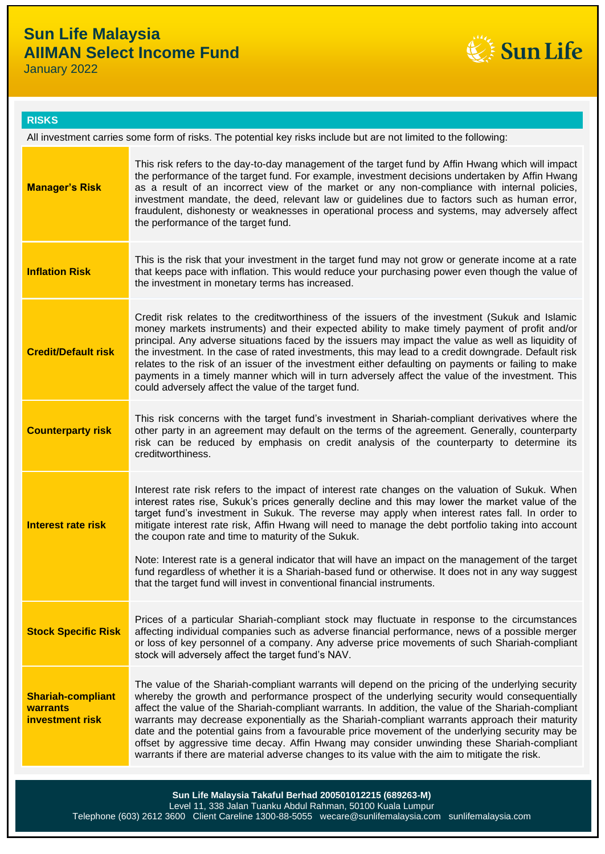# **Sun Life Malaysia AIIMAN Select Income Fund**

January 2022



## **RISKS**

| All investment carries some form of risks. The potential key risks include but are not limited to the following: |                                                                                                                                                                                                                                                                                                                                                                                                                                                                                                                                                                                                                                                                                                                                                             |  |  |  |
|------------------------------------------------------------------------------------------------------------------|-------------------------------------------------------------------------------------------------------------------------------------------------------------------------------------------------------------------------------------------------------------------------------------------------------------------------------------------------------------------------------------------------------------------------------------------------------------------------------------------------------------------------------------------------------------------------------------------------------------------------------------------------------------------------------------------------------------------------------------------------------------|--|--|--|
| <b>Manager's Risk</b>                                                                                            | This risk refers to the day-to-day management of the target fund by Affin Hwang which will impact<br>the performance of the target fund. For example, investment decisions undertaken by Affin Hwang<br>as a result of an incorrect view of the market or any non-compliance with internal policies,<br>investment mandate, the deed, relevant law or guidelines due to factors such as human error,<br>fraudulent, dishonesty or weaknesses in operational process and systems, may adversely affect<br>the performance of the target fund.                                                                                                                                                                                                                |  |  |  |
| <b>Inflation Risk</b>                                                                                            | This is the risk that your investment in the target fund may not grow or generate income at a rate<br>that keeps pace with inflation. This would reduce your purchasing power even though the value of<br>the investment in monetary terms has increased.                                                                                                                                                                                                                                                                                                                                                                                                                                                                                                   |  |  |  |
| <b>Credit/Default risk</b>                                                                                       | Credit risk relates to the creditworthiness of the issuers of the investment (Sukuk and Islamic<br>money markets instruments) and their expected ability to make timely payment of profit and/or<br>principal. Any adverse situations faced by the issuers may impact the value as well as liquidity of<br>the investment. In the case of rated investments, this may lead to a credit downgrade. Default risk<br>relates to the risk of an issuer of the investment either defaulting on payments or failing to make<br>payments in a timely manner which will in turn adversely affect the value of the investment. This<br>could adversely affect the value of the target fund.                                                                          |  |  |  |
| <b>Counterparty risk</b>                                                                                         | This risk concerns with the target fund's investment in Shariah-compliant derivatives where the<br>other party in an agreement may default on the terms of the agreement. Generally, counterparty<br>risk can be reduced by emphasis on credit analysis of the counterparty to determine its<br>creditworthiness.                                                                                                                                                                                                                                                                                                                                                                                                                                           |  |  |  |
| <b>Interest rate risk</b>                                                                                        | Interest rate risk refers to the impact of interest rate changes on the valuation of Sukuk. When<br>interest rates rise, Sukuk's prices generally decline and this may lower the market value of the<br>target fund's investment in Sukuk. The reverse may apply when interest rates fall. In order to<br>mitigate interest rate risk, Affin Hwang will need to manage the debt portfolio taking into account<br>the coupon rate and time to maturity of the Sukuk.<br>Note: Interest rate is a general indicator that will have an impact on the management of the target<br>fund regardless of whether it is a Shariah-based fund or otherwise. It does not in any way suggest<br>that the target fund will invest in conventional financial instruments. |  |  |  |
| <b>Stock Specific Risk</b>                                                                                       | Prices of a particular Shariah-compliant stock may fluctuate in response to the circumstances<br>affecting individual companies such as adverse financial performance, news of a possible merger<br>or loss of key personnel of a company. Any adverse price movements of such Shariah-compliant<br>stock will adversely affect the target fund's NAV.                                                                                                                                                                                                                                                                                                                                                                                                      |  |  |  |
| <b>Shariah-compliant</b><br>warrants<br>investment risk                                                          | The value of the Shariah-compliant warrants will depend on the pricing of the underlying security<br>whereby the growth and performance prospect of the underlying security would consequentially<br>affect the value of the Shariah-compliant warrants. In addition, the value of the Shariah-compliant<br>warrants may decrease exponentially as the Shariah-compliant warrants approach their maturity<br>date and the potential gains from a favourable price movement of the underlying security may be<br>offset by aggressive time decay. Affin Hwang may consider unwinding these Shariah-compliant<br>warrants if there are material adverse changes to its value with the aim to mitigate the risk.                                               |  |  |  |